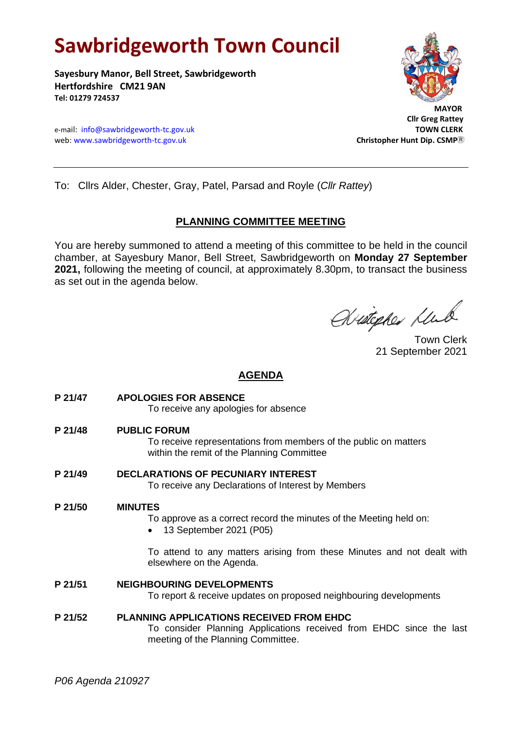# **Sawbridgeworth Town Council**

**Sayesbury Manor, Bell Street, Sawbridgeworth Hertfordshire CM21 9AN Tel: 01279 724537**





 **Cllr Greg Rattey**

To: Cllrs Alder, Chester, Gray, Patel, Parsad and Royle (*Cllr Rattey*)

## **PLANNING COMMITTEE MEETING**

You are hereby summoned to attend a meeting of this committee to be held in the council chamber, at Sayesbury Manor, Bell Street, Sawbridgeworth on **Monday 27 September 2021,** following the meeting of council, at approximately 8.30pm, to transact the business as set out in the agenda below.

Avistopher Klub

Town Clerk 21 September 2021

## **AGENDA**

**P 21/47 APOLOGIES FOR ABSENCE**

To receive any apologies for absence

**P 21/48 PUBLIC FORUM**

To receive representations from members of the public on matters within the remit of the Planning Committee

**P 21/49 DECLARATIONS OF PECUNIARY INTEREST** To receive any Declarations of Interest by Members

#### **P 21/50 MINUTES**

To approve as a correct record the minutes of the Meeting held on:

• 13 September 2021 (P05)

To attend to any matters arising from these Minutes and not dealt with elsewhere on the Agenda.

#### **P 21/51 NEIGHBOURING DEVELOPMENTS**

To report & receive updates on proposed neighbouring developments

#### **P 21/52 PLANNING APPLICATIONS RECEIVED FROM EHDC**

To consider Planning Applications received from EHDC since the last meeting of the Planning Committee.